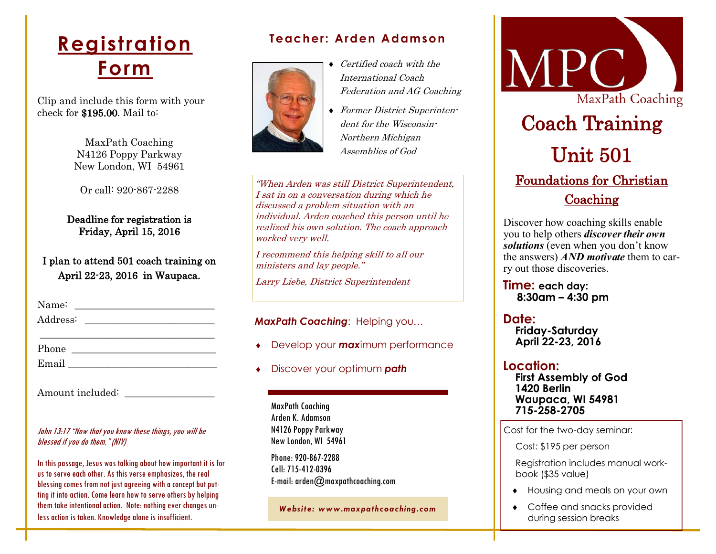## **Registration Form**

Clip and include this form with your check for \$195.00. Mail to:

> MaxPath Coaching N4126 Poppy Parkway New London, WI 54961

Or call: 920-867-2288

Deadline for registration is Friday, April 15, 2016

I plan to attend 501 coach training on April 22-23, 2016 in Waupaca.

Name: \_\_\_\_\_\_\_\_\_\_\_\_\_\_\_\_\_\_\_\_\_\_\_\_\_\_\_\_ Address: \_\_\_\_\_\_\_\_\_\_\_\_\_\_\_\_\_\_\_\_\_\_\_\_\_\_

Phone \_\_\_\_\_\_\_\_\_\_\_\_\_\_\_\_\_\_\_\_\_\_\_\_\_\_\_\_\_

Email <u>\_\_\_\_\_\_\_\_\_\_\_\_\_\_\_\_\_</u>

Amount included:

#### John 13:17 "Now that you know these things, you will be blessed if you do them." (NIV)

In this passage, Jesus was talking about how important it is for us to serve each other. As this verse emphasizes, the real blessing comes from not just agreeing with a concept but putting it into action. Come learn how to serve others by helping them take intentional action. Note: nothing ever changes unless action is taken. Knowledge alone is insufficient.

#### **Teacher: Arden Adamson**



- ◆ Certified coach with the International Coach Federation and AG Coaching
- Former District Superintendent for the Wisconsin-Northern Michigan Assemblies of God

"When Arden was still District Superintendent, I sat in on a conversation during which he discussed a problem situation with an individual. Arden coached this person until he realized his own solution. The coach approach worked very well.

I recommend this helping skill to all our ministers and lay people."

Larry Liebe, District Superintendent

*MaxPath Coaching*: Helping you…

- Develop your *max*imum performance
- Discover your optimum *path*

MaxPath Coaching Arden K. Adamson N4126 Poppy Parkway New London, WI 54961

Phone: 920-867-2288 Cell: 715-412-0396 E-mail: arden@maxpathcoaching.com

*Website: www.maxpathcoaching.com*



Discover how coaching skills enable you to help others *discover their own solutions* (even when you don't know the answers) *AND motivate* them to carry out those discoveries.

**Time: each day: 8:30am – 4:30 pm**

**Date: Friday-Saturday April 22-23, 2016**

**Location: First Assembly of God 1420 Berlin Waupaca, WI 54981 715-258-2705**

Cost for the two-day seminar:

Cost: \$195 per person

Registration includes manual workbook (\$35 value)

- Housing and meals on your own
- Coffee and snacks provided during session breaks